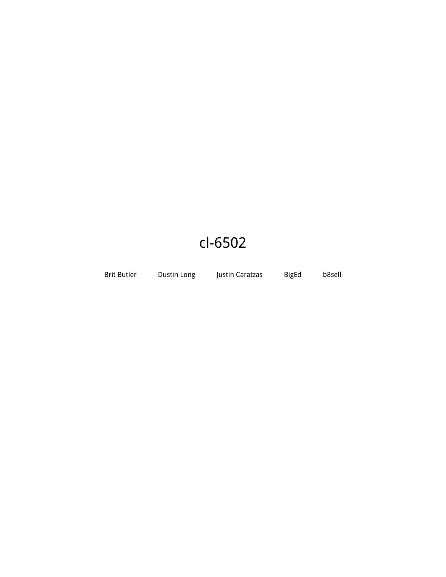# cl-6502

Brit Butler Dustin Long Justin Caratzas BigEd b8sell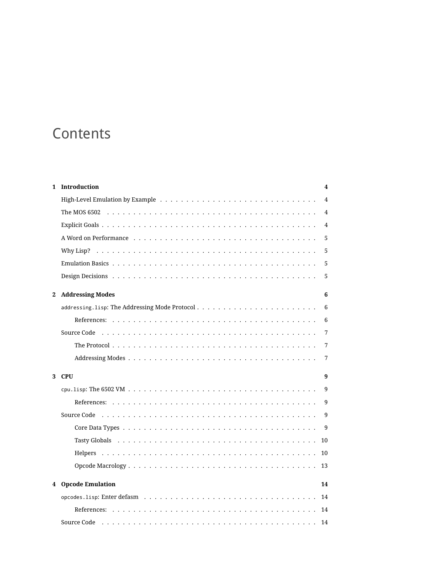# **Contents**

| 1 | Introduction                                   | 4   |
|---|------------------------------------------------|-----|
|   |                                                | 4   |
|   |                                                | 4   |
|   |                                                | 4   |
|   |                                                | 5   |
|   |                                                | 5   |
|   |                                                | 5   |
|   |                                                | 5   |
| 2 | <b>Addressing Modes</b>                        | 6   |
|   | addressing. lisp: The Addressing Mode Protocol | 6   |
|   |                                                | 6   |
|   |                                                | 7   |
|   |                                                | 7   |
|   |                                                | 7   |
|   | 3 CPU                                          | 9   |
|   |                                                | 9   |
|   |                                                | 9   |
|   |                                                | 9   |
|   |                                                | - 9 |
|   |                                                |     |
|   |                                                |     |
|   |                                                |     |
| 4 | <b>Opcode Emulation</b>                        | 14  |
|   |                                                | 14  |
|   |                                                |     |
|   |                                                | 14  |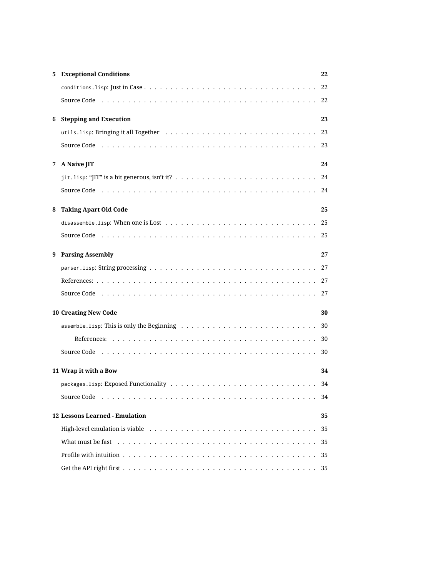|                                      | <b>5</b> Exceptional Conditions                                                                                                                                                                                                | 22  |  |  |
|--------------------------------------|--------------------------------------------------------------------------------------------------------------------------------------------------------------------------------------------------------------------------------|-----|--|--|
|                                      |                                                                                                                                                                                                                                | 22  |  |  |
|                                      |                                                                                                                                                                                                                                | 22  |  |  |
|                                      | 6 Stepping and Execution                                                                                                                                                                                                       | 23  |  |  |
|                                      |                                                                                                                                                                                                                                |     |  |  |
|                                      |                                                                                                                                                                                                                                |     |  |  |
| 7                                    | A Naive JIT                                                                                                                                                                                                                    | 24  |  |  |
|                                      |                                                                                                                                                                                                                                |     |  |  |
|                                      | Source Code (a) respectively and solution of the contract of the contract of the contract of the contract of the contract of the contract of the contract of the contract of the contract of the contract of the contract of t |     |  |  |
| 8                                    | <b>Taking Apart Old Code</b>                                                                                                                                                                                                   | 25  |  |  |
|                                      | disassemble. lisp: When one is Lost $\dots \dots \dots \dots \dots \dots \dots \dots \dots \dots \dots \dots \dots$                                                                                                            | -25 |  |  |
|                                      |                                                                                                                                                                                                                                | -25 |  |  |
| 9                                    | <b>Parsing Assembly</b>                                                                                                                                                                                                        | 27  |  |  |
|                                      |                                                                                                                                                                                                                                |     |  |  |
|                                      |                                                                                                                                                                                                                                |     |  |  |
|                                      |                                                                                                                                                                                                                                |     |  |  |
| <b>10 Creating New Code</b><br>30    |                                                                                                                                                                                                                                |     |  |  |
|                                      |                                                                                                                                                                                                                                | 30  |  |  |
|                                      |                                                                                                                                                                                                                                | 30  |  |  |
|                                      | Source Code (a) respectively and the contract of the contract of the contract of the contract of the contract of the contract of the contract of the contract of the contract of the contract of the contract of the contract  | 30  |  |  |
|                                      | 11 Wrap it with a Bow                                                                                                                                                                                                          | 34  |  |  |
|                                      |                                                                                                                                                                                                                                | 34  |  |  |
|                                      |                                                                                                                                                                                                                                | 34  |  |  |
| 12 Lessons Learned - Emulation<br>35 |                                                                                                                                                                                                                                |     |  |  |
|                                      |                                                                                                                                                                                                                                | 35  |  |  |
|                                      | What must be fast response to the set of the set of the set of the set of the set of the set of the set of the set of the set of the set of the set of the set of the set of the set of the set of the set of the set of the s | 35  |  |  |
|                                      |                                                                                                                                                                                                                                | 35  |  |  |
|                                      |                                                                                                                                                                                                                                |     |  |  |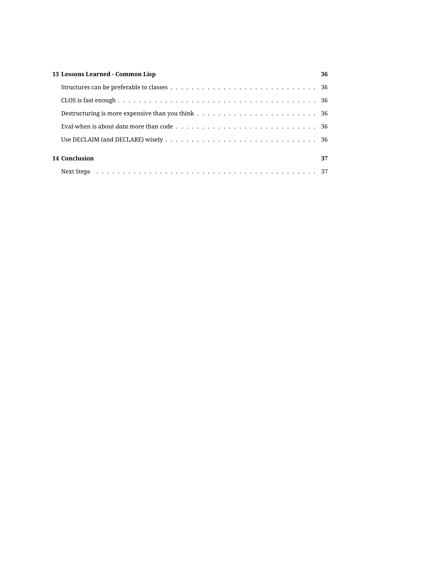| 13 Lessons Learned - Common Lisp |  |  |
|----------------------------------|--|--|
|                                  |  |  |
|                                  |  |  |
|                                  |  |  |
|                                  |  |  |
|                                  |  |  |
| 14 Conclusion                    |  |  |
|                                  |  |  |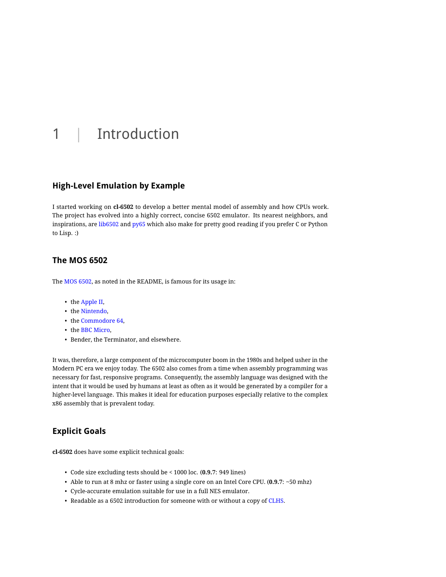# <span id="page-4-0"></span>1 | Introduction

### <span id="page-4-1"></span>**High-Level Emulation by Example**

I started working on **cl-6502** to develop a better mental model of assembly and how CPUs work. The project has evolved into a highly correct, concise 6502 emulator. Its nearest neighbors, and inspirations, are [lib6502](http://piumarta.com/software/lib6502/) and [py65](https://github.com/mnaberez/py65) which also make for pretty good reading if you prefer C or Python to Lisp. :)

## <span id="page-4-2"></span>**The MOS 6502**

The [MOS 6502,](http://en.wikipedia.org/wiki/MOS_Technology_6502) as noted in the README, is famous for its usage in:

- the [Apple II,](http://en.wikipedia.org/wiki/Apple_II_series)
- the [Nintendo,](http://en.wikipedia.org/wiki/Nintendo_Entertainment_System)
- the [Commodore 64,](http://en.wikipedia.org/wiki/Commodore_64)
- the [BBC Micro,](http://en.wikipedia.org/wiki/BBC_Micro)
- Bender, the Terminator, and elsewhere.

It was, therefore, a large component of the microcomputer boom in the 1980s and helped usher in the Modern PC era we enjoy today. The 6502 also comes from a time when assembly programming was necessary for fast, responsive programs. Consequently, the assembly language was designed with the intent that it would be used by humans at least as often as it would be generated by a compiler for a higher-level language. This makes it ideal for education purposes especially relative to the complex x86 assembly that is prevalent today.

## <span id="page-4-3"></span>**Explicit Goals**

**cl-6502** does have some explicit technical goals:

- Code size excluding tests should be < 1000 loc. (**0.9.7**: 949 lines)
- Able to run at 8 mhz or faster using a single core on an Intel Core CPU. (**0.9.7**: ~50 mhz)
- Cycle-accurate emulation suitable for use in a full NES emulator.
- Readable as a 6502 introduction for someone with or without a copy of [CLHS.](http://www.lispworks.com/documentation/HyperSpec/)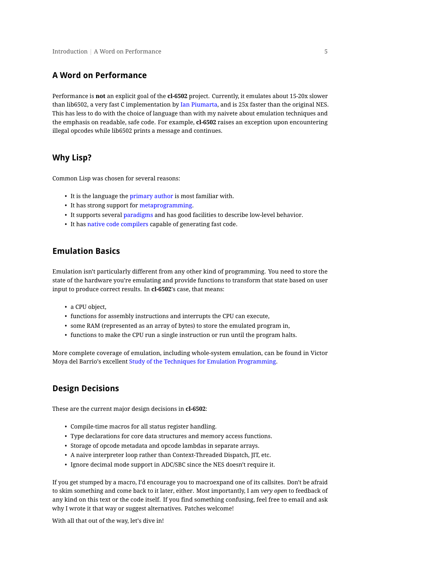### <span id="page-5-0"></span>**A Word on Performance**

Performance is **not** an explicit goal of the **cl-6502** project. Currently, it emulates about 15-20x slower than lib6502, a very fast C implementation by [Ian Piumarta,](http://piumarta.com/cv/bio.html) and is 25x faster than the original NES. This has less to do with the choice of language than with my naivete about emulation techniques and the emphasis on readable, safe code. For example, **cl-6502** raises an exception upon encountering illegal opcodes while lib6502 prints a message and continues.

### <span id="page-5-1"></span>**Why Lisp?**

Common Lisp was chosen for several reasons:

- It is the language the [primary author](http://redlinernotes.com/) is most familiar with.
- It has strong support for [metaprogramming.](http://lists.warhead.org.uk/pipermail/iwe/2005-July/000130.html)
- It supports several [paradigms](http://en.wikipedia.org/wiki/Programming_paradigm) and has good facilities to describe low-level behavior.
- It has [native code compilers](http://www.sbcl.org/) capable of generating fast code.

#### <span id="page-5-2"></span>**Emulation Basics**

Emulation isn't particularly different from any other kind of programming. You need to store the state of the hardware you're emulating and provide functions to transform that state based on user input to produce correct results. In **cl-6502**'s case, that means:

- a CPU object,
- functions for assembly instructions and interrupts the CPU can execute,
- some RAM (represented as an array of bytes) to store the emulated program in,
- functions to make the CPU run a single instruction or run until the program halts.

More complete coverage of emulation, including whole-system emulation, can be found in Victor Moya del Barrio's excellent [Study of the Techniques for Emulation Programming.](http://personals.ac.upc.edu/vmoya/docs/emuprog.pdf)

### <span id="page-5-3"></span>**Design Decisions**

These are the current major design decisions in **cl-6502**:

- Compile-time macros for all status register handling.
- Type declarations for core data structures and memory access functions.
- Storage of opcode metadata and opcode lambdas in separate arrays.
- A naive interpreter loop rather than Context-Threaded Dispatch, JIT, etc.
- Ignore decimal mode support in ADC/SBC since the NES doesn't require it.

If you get stumped by a macro, I'd encourage you to macroexpand one of its callsites. Don't be afraid to skim something and come back to it later, either. Most importantly, I am *very open* to feedback of any kind on this text or the code itself. If you find something confusing, feel free to email and ask why I wrote it that way or suggest alternatives. Patches welcome!

With all that out of the way, let's dive in!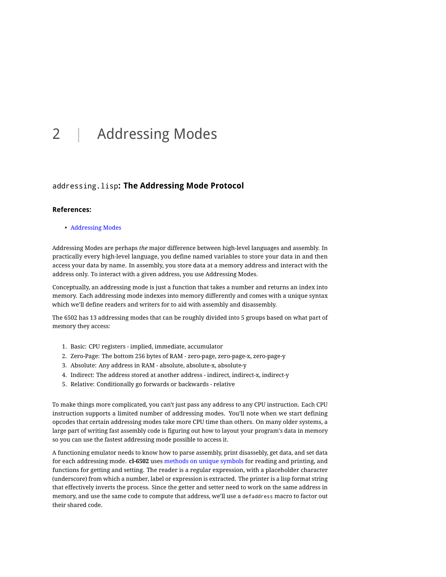# <span id="page-6-0"></span>2 | Addressing Modes

### <span id="page-6-1"></span>addressing.lisp**: The Addressing Mode Protocol**

#### <span id="page-6-2"></span>**References:**

• [Addressing Modes](http://www.obelisk.demon.co.uk/6502/addressing.html)

Addressing Modes are perhaps *the* major difference between high-level languages and assembly. In practically every high-level language, you define named variables to store your data in and then access your data by name. In assembly, you store data at a memory address and interact with the address only. To interact with a given address, you use Addressing Modes.

Conceptually, an addressing mode is just a function that takes a number and returns an index into memory. Each addressing mode indexes into memory differently and comes with a unique syntax which we'll define readers and writers for to aid with assembly and disassembly.

The 6502 has 13 addressing modes that can be roughly divided into 5 groups based on what part of memory they access:

- 1. Basic: CPU registers implied, immediate, accumulator
- 2. Zero-Page: The bottom 256 bytes of RAM zero-page, zero-page-x, zero-page-y
- 3. Absolute: Any address in RAM absolute, absolute-x, absolute-y
- 4. Indirect: The address stored at another address indirect, indirect-x, indirect-y
- 5. Relative: Conditionally go forwards or backwards relative

To make things more complicated, you can't just pass any address to any CPU instruction. Each CPU instruction supports a limited number of addressing modes. You'll note when we start defining opcodes that certain addressing modes take more CPU time than others. On many older systems, a large part of writing fast assembly code is figuring out how to layout your program's data in memory so you can use the fastest addressing mode possible to access it.

A functioning emulator needs to know how to parse assembly, print disassebly, get data, and set data for each addressing mode. **cl-6502** uses [methods on unique symbols](http://cl-cookbook.sourceforge.net/clos-tutorial/#section-4.5) for reading and printing, and functions for getting and setting. The reader is a regular expression, with a placeholder character (underscore) from which a number, label or expression is extracted. The printer is a lisp format string that effectively inverts the process. Since the getter and setter need to work on the same address in memory, and use the same code to compute that address, we'll use a defaddress macro to factor out their shared code.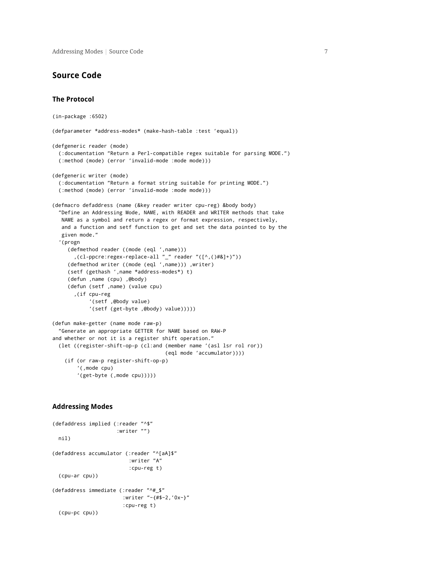Addressing Modes **|** Source Code 7

#### <span id="page-7-0"></span>**Source Code**

#### <span id="page-7-1"></span>**The Protocol**

(in-package :6502) (defparameter \*address-modes\* (make-hash-table :test 'equal)) (defgeneric reader (mode) (:documentation "Return a Perl-compatible regex suitable for parsing MODE.") (:method (mode) (error 'invalid-mode :mode mode))) (defgeneric writer (mode) (:documentation "Return a format string suitable for printing MODE.") (:method (mode) (error 'invalid-mode :mode mode))) (defmacro defaddress (name (&key reader writer cpu-reg) &body body) "Define an Addressing Mode, NAME, with READER and WRITER methods that take NAME as a symbol and return a regex or format expression, respectively, and a function and setf function to get and set the data pointed to by the given mode." '(progn (defmethod reader ((mode (eql ',name))) ,(cl-ppcre:regex-replace-all "\_" reader "([^,()#&]+)")) (defmethod writer ((mode (eql ',name))) ,writer) (setf (gethash ',name \*address-modes\*) t) (defun ,name (cpu) ,@body) (defun (setf ,name) (value cpu) ,(if cpu-reg '(setf ,@body value) '(setf (get-byte ,@body) value))))) (defun make-getter (name mode raw-p) "Generate an appropriate GETTER for NAME based on RAW-P and whether or not it is a register shift operation." (let ((register-shift-op-p (cl:and (member name '(asl lsr rol ror)) (eql mode 'accumulator)))) (if (or raw-p register-shift-op-p) '(,mode cpu) '(get-byte (,mode cpu)))))

#### <span id="page-7-2"></span>**Addressing Modes**

```
(defaddress implied (:reader "^$"
                     :writer "")
 nil)
(defaddress accumulator (:reader "^[aA]$"
                         :writer "A"
                         :cpu-reg t)
  (cpu-ar cpu))
(defaddress immediate (:reader "^#_$"
                       :writer "~{#$~2,'0x~}"
                       :cpu-reg t)
  (cpu-pc cpu))
```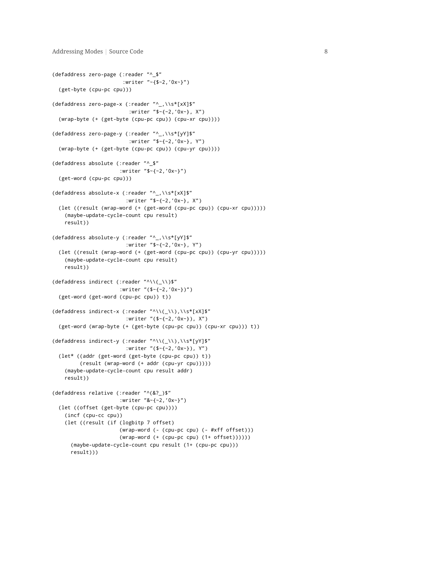```
(defaddress zero-page (:reader "^_$"
                       :writer "~{$~2,'0x~}")
 (get-byte (cpu-pc cpu)))
(defaddress zero-page-x (:reader "^_,\\s*[xX]$"
                         :writer "$~{~2,'0x~}, X")
 (wrap-byte (+ (get-byte (cpu-pc cpu)) (cpu-xr cpu))))
(defaddress zero-page-y (:reader "^_,\\s*[yY]$"
                         :writer "$~{~2,'0x~}, Y")
 (wrap-byte (+ (get-byte (cpu-pc cpu)) (cpu-yr cpu))))
(defaddress absolute (:reader "^_$"
                      :writer "$~{~2,'0x~}")
 (get-word (cpu-pc cpu)))
(defaddress absolute-x (:reader "^_,\\s*[xX]$"
                        :writer "$~{~2,'0x~}, X")
 (let ((result (wrap-word (+ (get-word (cpu-pc cpu)) (cpu-xr cpu)))))
   (maybe-update-cycle-count cpu result)
   result))
(defaddress absolute-y (:reader "^_,\\s*[yY]$"
                       :writer "$~{~2,'0x~}, Y")
 (let ((result (wrap-word (+ (get-word (cpu-pc cpu)) (cpu-yr cpu)))))
   (maybe-update-cycle-count cpu result)
   result))
(defaddress indirect (:reader "^\\(_\\)$"
                      :writer "($~{~2,'0x~})")
 (get-word (get-word (cpu-pc cpu)) t))
(defaddress indirect-x (:reader "^\\(_\\),\\s*[xX]$"
                        :writer "($~{~2,'0x~}), X")
 (get-word (wrap-byte (+ (get-byte (cpu-pc cpu)) (cpu-xr cpu))) t))
(defaddress indirect-y (:reader "^\\(_\\),\\s*[yY]$"
                        :writer "($~{~2,'0x~}), Y")
 (let* ((addr (get-word (get-byte (cpu-pc cpu)) t))
         (result (wrap-word (+ addr (cpu-yr cpu)))))
   (maybe-update-cycle-count cpu result addr)
   result))
(defaddress relative (:reader "^(&?_)$"
                      :writer "&~{~2,'0x~}")
 (let ((offset (get-byte (cpu-pc cpu))))
   (incf (cpu-cc cpu))
   (let ((result (if (logbitp 7 offset)
                      (wrap-word (- (cpu-pc cpu) (- #xff offset)))
                      (wrap-word (+ (cpu-pc cpu) (1+ offset))))))
     (maybe-update-cycle-count cpu result (1+ (cpu-pc cpu)))
     result)))
```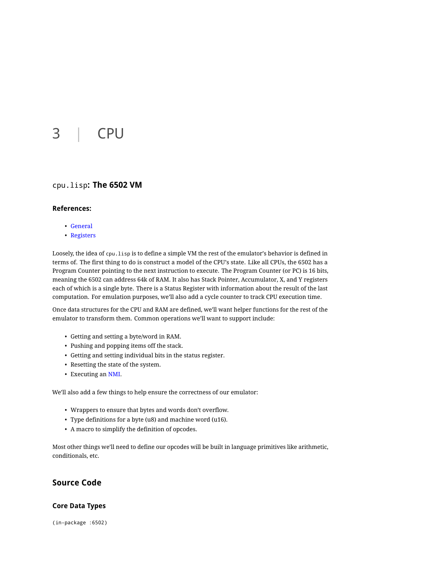# <span id="page-9-0"></span>3 | CPU

### <span id="page-9-1"></span>cpu.lisp**: The 6502 VM**

### <span id="page-9-2"></span>**References:**

- [General](http://nesdev.parodius.com/6502.txt)
- [Registers](http://www.obelisk.demon.co.uk/6502/registers.html)

Loosely, the idea of cpu.lisp is to define a simple VM the rest of the emulator's behavior is defined in terms of. The first thing to do is construct a model of the CPU's state. Like all CPUs, the 6502 has a Program Counter pointing to the next instruction to execute. The Program Counter (or PC) is 16 bits, meaning the 6502 can address 64k of RAM. It also has Stack Pointer, Accumulator, X, and Y registers each of which is a single byte. There is a Status Register with information about the result of the last computation. For emulation purposes, we'll also add a cycle counter to track CPU execution time.

Once data structures for the CPU and RAM are defined, we'll want helper functions for the rest of the emulator to transform them. Common operations we'll want to support include:

- Getting and setting a byte/word in RAM.
- Pushing and popping items off the stack.
- Getting and setting individual bits in the status register.
- Resetting the state of the system.
- Executing an [NMI.](http://en.wikipedia.org/wiki/Non_maskable_interrupt)

We'll also add a few things to help ensure the correctness of our emulator:

- Wrappers to ensure that bytes and words don't overflow.
- Type definitions for a byte (u8) and machine word (u16).
- A macro to simplify the definition of opcodes.

Most other things we'll need to define our opcodes will be built in language primitives like arithmetic, conditionals, etc.

## <span id="page-9-3"></span>**Source Code**

#### <span id="page-9-4"></span>**Core Data Types**

(in-package :6502)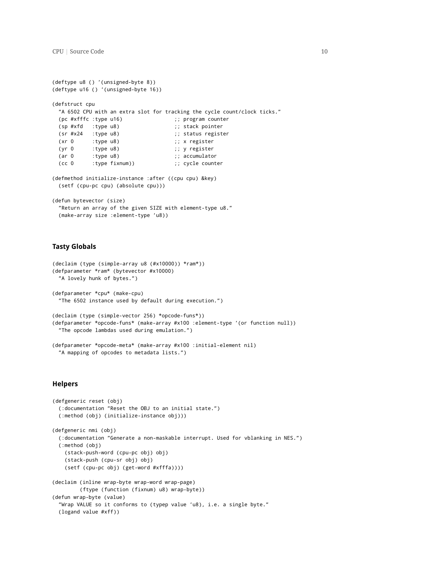```
(deftype u8 () '(unsigned-byte 8))
(deftype u16 () '(unsigned-byte 16))
(defstruct cpu
 "A 6502 CPU with an extra slot for tracking the cycle count/clock ticks."
 (pc #xfffc :type u16) ;; program counter
 (sp #xfd :type u8) ;; stack pointer
 (sr #x24 :type u8) ;; status register
 (xr 0 :type u8) ;; x register
 (yr 0 :type u8) ;; y register
 (ar 0 :type u8) (ar 0 :type u8)
 (cc 0 :type fixnum)) (cc 0 :type fixnum)) (example:
(defmethod initialize-instance :after ((cpu cpu) &key)
 (setf (cpu-pc cpu) (absolute cpu)))
(defun bytevector (size)
 "Return an array of the given SIZE with element-type u8."
 (make-array size :element-type 'u8))
```
#### <span id="page-10-0"></span>**Tasty Globals**

```
(declaim (type (simple-array u8 (#x10000)) *ram*))
(defparameter *ram* (bytevector #x10000)
 "A lovely hunk of bytes.")
(defparameter *cpu* (make-cpu)
  "The 6502 instance used by default during execution.")
(declaim (type (simple-vector 256) *opcode-funs*))
(defparameter *opcode-funs* (make-array #x100 :element-type '(or function null))
 "The opcode lambdas used during emulation.")
(defparameter *opcode-meta* (make-array #x100 :initial-element nil)
```
"A mapping of opcodes to metadata lists.")

#### <span id="page-10-1"></span>**Helpers**

```
(defgeneric reset (obj)
 (:documentation "Reset the OBJ to an initial state.")
 (:method (obj) (initialize-instance obj)))
(defgeneric nmi (obj)
 (:documentation "Generate a non-maskable interrupt. Used for vblanking in NES.")
 (:method (obj)
   (stack-push-word (cpu-pc obj) obj)
   (stack-push (cpu-sr obj) obj)
   (setf (cpu-pc obj) (get-word #xfffa))))
(declaim (inline wrap-byte wrap-word wrap-page)
        (ftype (function (fixnum) u8) wrap-byte))
(defun wrap-byte (value)
 "Wrap VALUE so it conforms to (typep value 'u8), i.e. a single byte."
 (logand value #xff))
```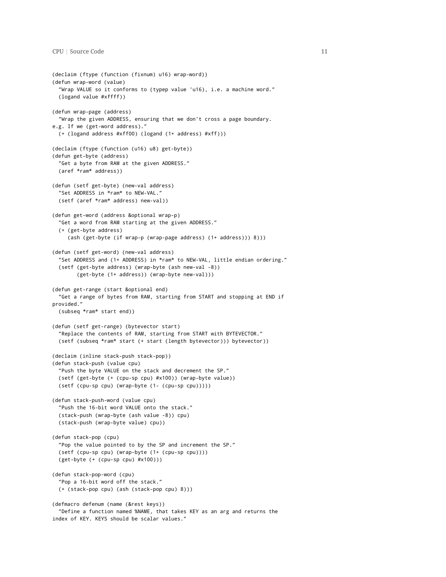```
(declaim (ftype (function (fixnum) u16) wrap-word))
(defun wrap-word (value)
  "Wrap VALUE so it conforms to (typep value 'u16), i.e. a machine word."
 (logand value #xffff))
(defun wrap-page (address)
  "Wrap the given ADDRESS, ensuring that we don't cross a page boundary.
e.g. If we (get-word address)."
 (+ (logand address #xff00) (logand (1+ address) #xff)))
(declaim (ftype (function (u16) u8) get-byte))
(defun get-byte (address)
 "Get a byte from RAM at the given ADDRESS."
 (aref *ram* address))
(defun (setf get-byte) (new-val address)
 "Set ADDRESS in *ram* to NEW-VAL."
 (setf (aref *ram* address) new-val))
(defun get-word (address &optional wrap-p)
 "Get a word from RAM starting at the given ADDRESS."
 (+ (get-byte address)
     (ash (get-byte (if wrap-p (wrap-page address) (1+ address))) 8)))
(defun (setf get-word) (new-val address)
  "Set ADDRESS and (1+ ADDRESS) in *ram* to NEW-VAL, little endian ordering."
 (setf (get-byte address) (wrap-byte (ash new-val -8))
       (get-byte (1+ address)) (wrap-byte new-val)))
(defun get-range (start &optional end)
  "Get a range of bytes from RAM, starting from START and stopping at END if
provided."
 (subseq *ram* start end))
(defun (setf get-range) (bytevector start)
 "Replace the contents of RAM, starting from START with BYTEVECTOR."
 (setf (subseq *ram* start (+ start (length bytevector))) bytevector))
(declaim (inline stack-push stack-pop))
(defun stack-push (value cpu)
 "Push the byte VALUE on the stack and decrement the SP."
 (setf (get-byte (+ (cpu-sp cpu) #x100)) (wrap-byte value))
 (setf (cpu-sp cpu) (wrap-byte (1- (cpu-sp cpu)))))
(defun stack-push-word (value cpu)
  "Push the 16-bit word VALUE onto the stack."
 (stack-push (wrap-byte (ash value -8)) cpu)
 (stack-push (wrap-byte value) cpu))
(defun stack-pop (cpu)
  "Pop the value pointed to by the SP and increment the SP."
 (setf (cpu-sp cpu) (wrap-byte (1+ (cpu-sp cpu))))
 (get-byte (+ (cpu-sp cpu) #x100)))
(defun stack-pop-word (cpu)
  "Pop a 16-bit word off the stack."
 (+ (stack-pop cpu) (ash (stack-pop cpu) 8)))
(defmacro defenum (name (&rest keys))
  "Define a function named %NAME, that takes KEY as an arg and returns the
index of KEY. KEYS should be scalar values."
```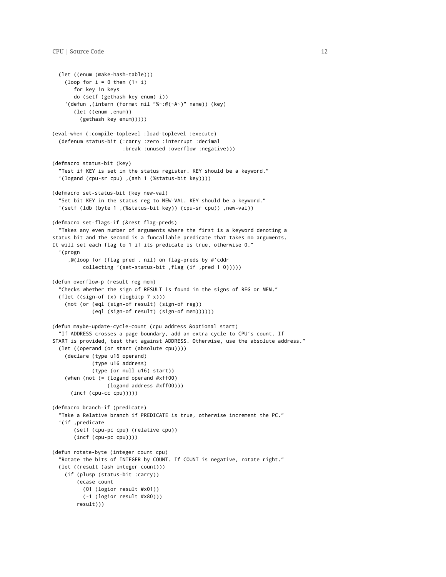```
(let ((enum (make-hash-table)))
   (loop for i = 0 then (1 + i)for key in keys
       do (setf (gethash key enum) i))
    '(defun ,(intern (format nil "%~:@(~A~)" name)) (key)
       (let ((enum ,enum))
         (gethash key enum)))))
(eval-when (:compile-toplevel :load-toplevel :execute)
 (defenum status-bit (:carry :zero :interrupt :decimal
                       :break :unused :overflow :negative)))
(defmacro status-bit (key)
  "Test if KEY is set in the status register. KEY should be a keyword."
  '(logand (cpu-sr cpu) ,(ash 1 (%status-bit key))))
(defmacro set-status-bit (key new-val)
  "Set bit KEY in the status reg to NEW-VAL. KEY should be a keyword."
  '(setf (ldb (byte 1 ,(%status-bit key)) (cpu-sr cpu)) ,new-val))
(defmacro set-flags-if (&rest flag-preds)
 "Takes any even number of arguments where the first is a keyword denoting a
status bit and the second is a funcallable predicate that takes no arguments.
It will set each flag to 1 if its predicate is true, otherwise 0."
  '(progn
     ,@(loop for (flag pred . nil) on flag-preds by #'cddr
          collecting '(set-status-bit ,flag (if ,pred 1 0)))))
(defun overflow-p (result reg mem)
  "Checks whether the sign of RESULT is found in the signs of REG or MEM."
 (flet ((sign-of (x) (logbitp 7 x)))
   (not (or (eql (sign-of result) (sign-of reg))
             (eql (sign-of result) (sign-of mem))))))
(defun maybe-update-cycle-count (cpu address &optional start)
  "If ADDRESS crosses a page boundary, add an extra cycle to CPU's count. If
START is provided, test that against ADDRESS. Otherwise, use the absolute address."
 (let ((operand (or start (absolute cpu))))
   (declare (type u16 operand)
             (type u16 address)
             (type (or null u16) start))
   (when (not (= (logand operand #xff00)
                  (logand address #xff00)))
     (incf (cpu-cc cpu)))))
(defmacro branch-if (predicate)
  "Take a Relative branch if PREDICATE is true, otherwise increment the PC."
  '(if ,predicate
       (setf (cpu-pc cpu) (relative cpu))
       (incf (cpu-pc cpu))))
(defun rotate-byte (integer count cpu)
  "Rotate the bits of INTEGER by COUNT. If COUNT is negative, rotate right."
 (let ((result (ash integer count)))
   (if (plusp (status-bit :carry))
       (ecase count
         (01 (logior result #x01))
          (-1 (logior result #x80)))
       result)))
```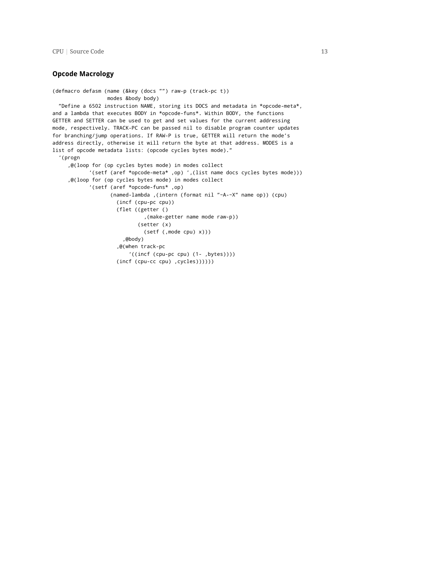#### <span id="page-13-0"></span>**Opcode Macrology**

```
(defmacro defasm (name (&key (docs "") raw-p (track-pc t))
                 modes &body body)
 "Define a 6502 instruction NAME, storing its DOCS and metadata in *opcode-meta*,
and a lambda that executes BODY in *opcode-funs*. Within BODY, the functions
GETTER and SETTER can be used to get and set values for the current addressing
mode, respectively. TRACK-PC can be passed nil to disable program counter updates
for branching/jump operations. If RAW-P is true, GETTER will return the mode's
address directly, otherwise it will return the byte at that address. MODES is a
list of opcode metadata lists: (opcode cycles bytes mode)."
  '(progn
     ,@(loop for (op cycles bytes mode) in modes collect
            '(setf (aref *opcode-meta* ,op) ',(list name docs cycles bytes mode)))
     ,@(loop for (op cycles bytes mode) in modes collect
            '(setf (aref *opcode-funs* ,op)
                   (named-lambda ,(intern (format nil "~A-~X" name op)) (cpu)
                     (incf (cpu-pc cpu))
                     (flet ((getter ()
                              ,(make-getter name mode raw-p))
                            (setter (x)
                              (setf (,mode cpu) x)))
                       ,@body)
                     ,@(when track-pc
                         '((incf (cpu-pc cpu) (1- ,bytes))))
                     (incf (cpu-cc cpu) ,cycles))))))
```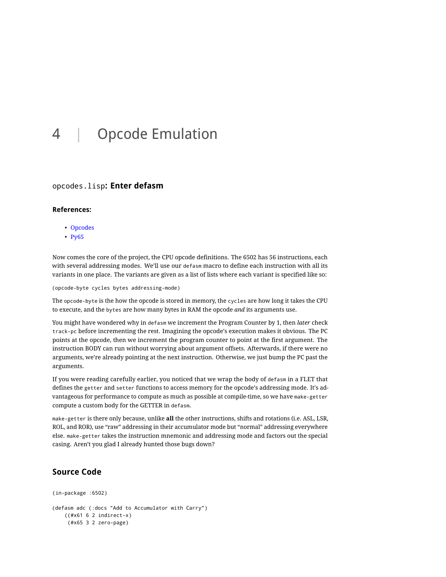# <span id="page-14-0"></span>4 | Opcode Emulation

### <span id="page-14-1"></span>opcodes.lisp**: Enter defasm**

#### <span id="page-14-2"></span>**References:**

- [Opcodes](http://www.obelisk.demon.co.uk/6502/reference.html)
- [Py65](https://github.com/mnaberez/py65/blob/master/src/py65/devices/mpu6502.py)

Now comes the core of the project, the CPU opcode definitions. The 6502 has 56 instructions, each with several addressing modes. We'll use our defasm macro to define each instruction with all its variants in one place. The variants are given as a list of lists where each variant is specified like so:

(opcode-byte cycles bytes addressing-mode)

The opcode-byte is the how the opcode is stored in memory, the cycles are how long it takes the CPU to execute, and the bytes are how many bytes in RAM the opcode *and* its arguments use.

You might have wondered why in defasm we increment the Program Counter by 1, then *later* check track-pc before incrementing the rest. Imagining the opcode's execution makes it obvious. The PC points at the opcode, then we increment the program counter to point at the first argument. The instruction BODY can run without worrying about argument offsets. Afterwards, if there were no arguments, we're already pointing at the next instruction. Otherwise, we just bump the PC past the arguments.

If you were reading carefully earlier, you noticed that we wrap the body of defasm in a FLET that defines the getter and setter functions to access memory for the opcode's addressing mode. It's advantageous for performance to compute as much as possible at compile-time, so we have make-getter compute a custom body for the GETTER in defasm.

make-getter is there only because, unlike **all** the other instructions, shifts and rotations (i.e. ASL, LSR, ROL, and ROR), use "raw" addressing in their accumulator mode but "normal" addressing everywhere else. make-getter takes the instruction mnemonic and addressing mode and factors out the special casing. Aren't you glad I already hunted those bugs down?

```
(in-package :6502)
(defasm adc (:docs "Add to Accumulator with Carry")
   ((#x61 6 2 indirect-x)
    (#x65 3 2 zero-page)
```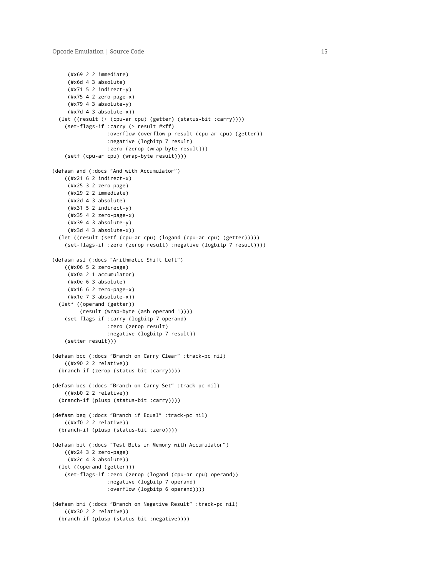```
(#x69 2 2 immediate)
     (#x6d 4 3 absolute)
    (#x71 5 2 indirect-y)
    (#x75 4 2 zero-page-x)
    (#x79 4 3 absolute-y)
     (#x7d 4 3 absolute-x))
  (let ((result (+ (cpu-ar cpu) (getter) (status-bit :carry))))
    (set-flags-if :carry (> result #xff)
                  :overflow (overflow-p result (cpu-ar cpu) (getter))
                  :negative (logbitp 7 result)
                  :zero (zerop (wrap-byte result)))
    (setf (cpu-ar cpu) (wrap-byte result))))
(defasm and (:docs "And with Accumulator")
    ((#x21 6 2 indirect-x)
    (#x25 3 2 zero-page)
    (#x29 2 2 immediate)
    (#x2d 4 3 absolute)
     (#x31 5 2 indirect-y)
     (#x35 4 2 zero-page-x)
    (#x39 4 3 absolute-y)
    (#x3d 4 3 absolute-x))
  (let ((result (setf (cpu-ar cpu) (logand (cpu-ar cpu) (getter)))))
    (set-flags-if :zero (zerop result) :negative (logbitp 7 result))))
(defasm asl (:docs "Arithmetic Shift Left")
    ((#x06 5 2 zero-page)
    (#x0a 2 1 accumulator)
    (#x0e 6 3 absolute)
    (#x16 6 2 zero-page-x)
     (#x1e 7 3 absolute-x))
  (let* ((operand (getter))
         (result (wrap-byte (ash operand 1))))
    (set-flags-if :carry (logbitp 7 operand)
                  :zero (zerop result)
                  :negative (logbitp 7 result))
    (setter result)))
(defasm bcc (:docs "Branch on Carry Clear" :track-pc nil)
    ((#x90 2 2 relative))
  (branch-if (zerop (status-bit :carry))))
(defasm bcs (:docs "Branch on Carry Set" :track-pc nil)
   ((#xb0 2 2 relative))
  (branch-if (plusp (status-bit :carry))))
(defasm beq (:docs "Branch if Equal" :track-pc nil)
    ((#xf0 2 2 relative))
  (branch-if (plusp (status-bit :zero))))
(defasm bit (:docs "Test Bits in Memory with Accumulator")
    ((#x24 3 2 zero-page)
    (#x2c 4 3 absolute))
  (let ((operand (getter)))
    (set-flags-if :zero (zerop (logand (cpu-ar cpu) operand))
                  :negative (logbitp 7 operand)
                  :overflow (logbitp 6 operand))))
(defasm bmi (:docs "Branch on Negative Result" :track-pc nil)
    ((#x30 2 2 relative))
  (branch-if (plusp (status-bit :negative))))
```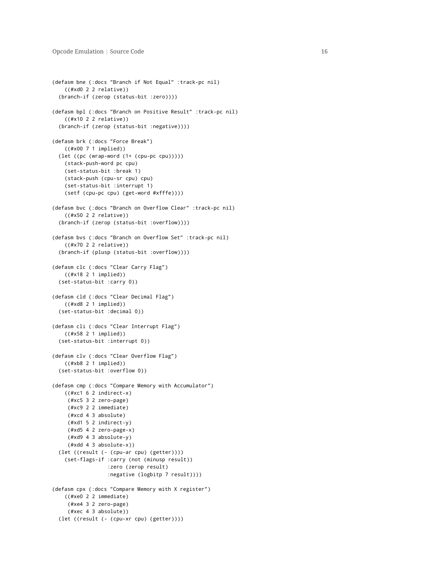```
(defasm bne (:docs "Branch if Not Equal" :track-pc nil)
    ((#xd0 2 2 relative))
  (branch-if (zerop (status-bit :zero))))
(defasm bpl (:docs "Branch on Positive Result" :track-pc nil)
    ((#x10 2 2 relative))
  (branch-if (zerop (status-bit :negative))))
(defasm brk (:docs "Force Break")
    ((#x00 7 1 implied))
  (let ((pc (wrap-word (1+ (cpu-pc cpu)))))
   (stack-push-word pc cpu)
   (set-status-bit :break 1)
    (stack-push (cpu-sr cpu) cpu)
   (set-status-bit :interrupt 1)
    (setf (cpu-pc cpu) (get-word #xfffe))))
(defasm bvc (:docs "Branch on Overflow Clear" :track-pc nil)
    ((#x50 2 2 relative))
  (branch-if (zerop (status-bit :overflow))))
(defasm bvs (:docs "Branch on Overflow Set" :track-pc nil)
    ((#x70 2 2 relative))
  (branch-if (plusp (status-bit :overflow))))
(defasm clc (:docs "Clear Carry Flag")
    ((#x18 2 1 implied))
  (set-status-bit :carry 0))
(defasm cld (:docs "Clear Decimal Flag")
    ((#xd8 2 1 implied))
  (set-status-bit :decimal 0))
(defasm cli (:docs "Clear Interrupt Flag")
   ((#x58 2 1 implied))
  (set-status-bit :interrupt 0))
(defasm clv (:docs "Clear Overflow Flag")
    ((#xb8 2 1 implied))
  (set-status-bit :overflow 0))
(defasm cmp (:docs "Compare Memory with Accumulator")
    ((#xc1 6 2 indirect-x)
    (#xc5 3 2 zero-page)
    (#xc9 2 2 immediate)
     (#xcd 4 3 absolute)
     (#xd1 5 2 indirect-y)
    (#xd5 4 2 zero-page-x)
    (#xd9 4 3 absolute-y)
    (#xdd 4 3 absolute-x))
  (let ((result (- (cpu-ar cpu) (getter))))
    (set-flags-if :carry (not (minusp result))
                  :zero (zerop result)
                  :negative (logbitp 7 result))))
(defasm cpx (:docs "Compare Memory with X register")
    ((#xe0 2 2 immediate)
     (#xe4 3 2 zero-page)
     (#xec 4 3 absolute))
  (let ((result (- (cpu-xr cpu) (getter))))
```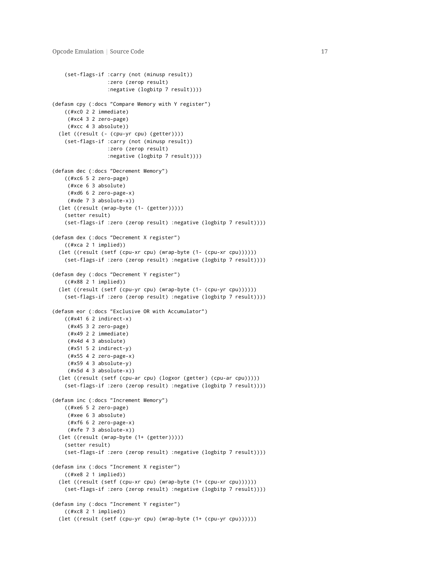```
(set-flags-if :carry (not (minusp result))
                  :zero (zerop result)
                  :negative (logbitp 7 result))))
(defasm cpy (:docs "Compare Memory with Y register")
   ((#xc0 2 2 immediate)
     (#xc4 3 2 zero-page)
     (#xcc 4 3 absolute))
 (let ((result (- (cpu-yr cpu) (getter))))
   (set-flags-if :carry (not (minusp result))
                  :zero (zerop result)
                  :negative (logbitp 7 result))))
(defasm dec (:docs "Decrement Memory")
   ((#xc6 5 2 zero-page)
    (#xce 6 3 absolute)
    (#xd6 6 2 zero-page-x)
     (#xde 7 3 absolute-x))
 (let ((result (wrap-byte (1- (getter)))))
   (setter result)
   (set-flags-if :zero (zerop result) :negative (logbitp 7 result))))
(defasm dex (:docs "Decrement X register")
   ((#xca 2 1 implied))
 (let ((result (setf (cpu-xr cpu) (wrap-byte (1- (cpu-xr cpu))))))
   (set-flags-if :zero (zerop result) :negative (logbitp 7 result))))
(defasm dey (:docs "Decrement Y register")
   ((#x88 2 1 implied))
 (let ((result (setf (cpu-yr cpu) (wrap-byte (1- (cpu-yr cpu))))))
   (set-flags-if :zero (zerop result) :negative (logbitp 7 result))))
(defasm eor (:docs "Exclusive OR with Accumulator")
   ((#x41 6 2 indirect-x)
     (#x45 3 2 zero-page)
    (#x49 2 2 immediate)
    (#x4d 4 3 absolute)
    (#x51 5 2 indirect-y)
    (#x55 4 2 zero-page-x)
    (#x59 4 3 absolute-y)
     (#x5d 4 3 absolute-x))
  (let ((result (setf (cpu-ar cpu) (logxor (getter) (cpu-ar cpu)))))
   (set-flags-if :zero (zerop result) :negative (logbitp 7 result))))
(defasm inc (:docs "Increment Memory")
   ((#xe6 5 2 zero-page)
     (#xee 6 3 absolute)
     (#xf6 6 2 zero-page-x)
     (#xfe 7 3 absolute-x))
 (let ((result (wrap-byte (1+ (getter)))))
   (setter result)
   (set-flags-if :zero (zerop result) :negative (logbitp 7 result))))
(defasm inx (:docs "Increment X register")
   ((#xe8 2 1 implied))
 (let ((result (setf (cpu-xr cpu) (wrap-byte (1+ (cpu-xr cpu))))))
   (set-flags-if :zero (zerop result) :negative (logbitp 7 result))))
(defasm iny (:docs "Increment Y register")
   ((#xc8 2 1 implied))
  (let ((result (setf (cpu-yr cpu) (wrap-byte (1+ (cpu-yr cpu))))))
```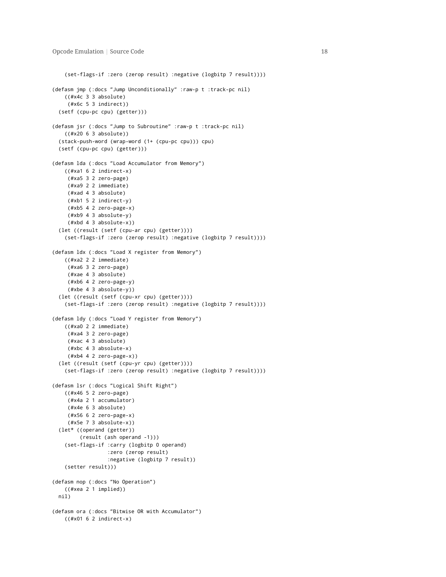```
(set-flags-if :zero (zerop result) :negative (logbitp 7 result))))
(defasm jmp (:docs "Jump Unconditionally" :raw-p t :track-pc nil)
   ((#x4c 3 3 absolute)
    (#x6c 5 3 indirect))
 (setf (cpu-pc cpu) (getter)))
(defasm jsr (:docs "Jump to Subroutine" :raw-p t :track-pc nil)
   ((#x20 6 3 absolute))
 (stack-push-word (wrap-word (1+ (cpu-pc cpu))) cpu)
 (setf (cpu-pc cpu) (getter)))
(defasm lda (:docs "Load Accumulator from Memory")
   ((#xa1 6 2 indirect-x)
    (#xa5 3 2 zero-page)
    (#xa9 2 2 immediate)
    (#xad 4 3 absolute)
    (#xb1 5 2 indirect-y)
    (#xb5 4 2 zero-page-x)
    (#xb9 4 3 absolute-y)
    (#xbd 4 3 absolute-x))
 (let ((result (setf (cpu-ar cpu) (getter))))
   (set-flags-if :zero (zerop result) :negative (logbitp 7 result))))
(defasm ldx (:docs "Load X register from Memory")
   ((#xa2 2 2 immediate)
    (#xa6 3 2 zero-page)
    (#xae 4 3 absolute)
    (#xb6 4 2 zero-page-y)
    (#xbe 4 3 absolute-y))
 (let ((result (setf (cpu-xr cpu) (getter))))
   (set-flags-if :zero (zerop result) :negative (logbitp 7 result))))
(defasm ldy (:docs "Load Y register from Memory")
   ((#xa0 2 2 immediate)
    (#xa4 3 2 zero-page)
    (#xac 4 3 absolute)
    (#xbc 4 3 absolute-x)
    (#xb4 4 2 zero-page-x))
  (let ((result (setf (cpu-yr cpu) (getter))))
   (set-flags-if :zero (zerop result) :negative (logbitp 7 result))))
(defasm lsr (:docs "Logical Shift Right")
   ((#x46 5 2 zero-page)
    (#x4a 2 1 accumulator)
    (#x4e 6 3 absolute)
    (#x56 6 2 zero-page-x)
     (#x5e 7 3 absolute-x))
 (let* ((operand (getter))
         (result (ash operand -1)))
   (set-flags-if :carry (logbitp 0 operand)
                  :zero (zerop result)
                  :negative (logbitp 7 result))
   (setter result)))
(defasm nop (:docs "No Operation")
   ((#xea 2 1 implied))
 nil)
(defasm ora (:docs "Bitwise OR with Accumulator")
   ((#x01 6 2 indirect-x)
```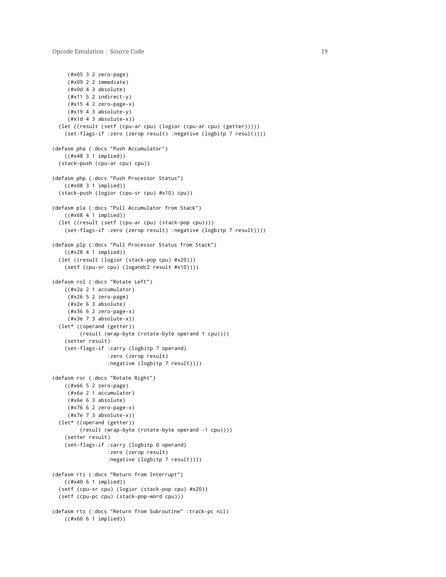```
(#x05 3 2 zero-page)
    (#x09 2 2 immediate)
    (#x0d 4 3 absolute)
    (#x11 5 2 indirect-y)
    (#x15 4 2 zero-page-x)
     (#x19 4 3 absolute-y)
     (#x1d 4 3 absolute-x))
  (let ((result (setf (cpu-ar cpu) (logior (cpu-ar cpu) (getter)))))
    (set-flags-if :zero (zerop result) :negative (logbitp 7 result))))
(defasm pha (:docs "Push Accumulator")
    ((#x48 3 1 implied))
  (stack-push (cpu-ar cpu) cpu))
(defasm php (:docs "Push Processor Status")
   ((#x08 3 1 implied))
  (stack-push (logior (cpu-sr cpu) #x10) cpu))
(defasm pla (:docs "Pull Accumulator from Stack")
    ((#x68 4 1 implied))
  (let ((result (setf (cpu-ar cpu) (stack-pop cpu))))
    (set-flags-if :zero (zerop result) :negative (logbitp 7 result))))
(defasm plp (:docs "Pull Processor Status from Stack")
    ((#x28 4 1 implied))
  (let ((result (logior (stack-pop cpu) #x20)))
    (setf (cpu-sr cpu) (logandc2 result #x10))))
(defasm rol (:docs "Rotate Left")
    ((#x2a 2 1 accumulator)
    (#x26 5 2 zero-page)
     (#x2e 6 3 absolute)
     (#x36 6 2 zero-page-x)
     (#x3e 7 3 absolute-x))
  (let* ((operand (getter))
         (result (wrap-byte (rotate-byte operand 1 cpu))))
    (setter result)
    (set-flags-if :carry (logbitp 7 operand)
                  :zero (zerop result)
                  :negative (logbitp 7 result))))
(defasm ror (:docs "Rotate Right")
   ((#x66 5 2 zero-page)
    (#x6a 2 1 accumulator)
    (#x6e 6 3 absolute)
     (#x76 6 2 zero-page-x)
     (#x7e 7 3 absolute-x))
  (let* ((operand (getter))
         (result (wrap-byte (rotate-byte operand -1 cpu))))
    (setter result)
    (set-flags-if :carry (logbitp 0 operand)
                  :zero (zerop result)
                  :negative (logbitp 7 result))))
(defasm rti (:docs "Return from Interrupt")
   ((#x40 6 1 implied))
  (setf (cpu-sr cpu) (logior (stack-pop cpu) #x20))
  (setf (cpu-pc cpu) (stack-pop-word cpu)))
(defasm rts (:docs "Return from Subroutine" :track-pc nil)
    ((#x60 6 1 implied))
```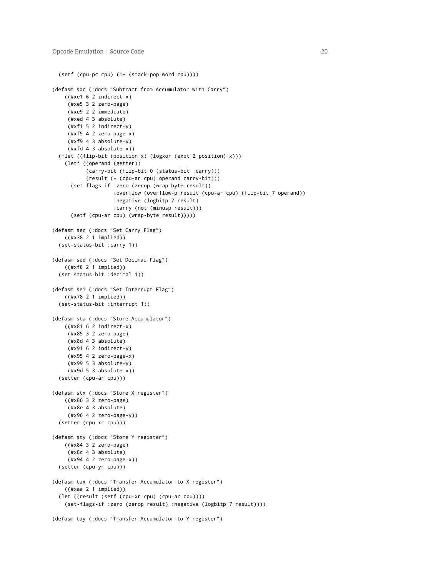```
(setf (cpu-pc cpu) (1+ (stack-pop-word cpu))))
(defasm sbc (:docs "Subtract from Accumulator with Carry")
   ((#xe1 6 2 indirect-x)
    (#xe5 3 2 zero-page)
    (#xe9 2 2 immediate)
    (#xed 4 3 absolute)
    (#xf1 5 2 indirect-y)
    (#xf5 4 2 zero-page-x)
    (#xf9 4 3 absolute-y)
    (#xfd 4 3 absolute-x))
 (flet ((flip-bit (position x) (logxor (expt 2 position) x)))
   (let* ((operand (getter))
           (carry-bit (flip-bit 0 (status-bit :carry)))
           (result (- (cpu-ar cpu) operand carry-bit)))
     (set-flags-if :zero (zerop (wrap-byte result))
                   :overflow (overflow-p result (cpu-ar cpu) (flip-bit 7 operand))
                    :negative (logbitp 7 result)
                    :carry (not (minusp result)))
     (setf (cpu-ar cpu) (wrap-byte result)))))
(defasm sec (:docs "Set Carry Flag")
   ((#x38 2 1 implied))
 (set-status-bit :carry 1))
(defasm sed (:docs "Set Decimal Flag")
   ((#xf8 2 1 implied))
 (set-status-bit :decimal 1))
(defasm sei (:docs "Set Interrupt Flag")
   ((#x78 2 1 implied))
 (set-status-bit :interrupt 1))
(defasm sta (:docs "Store Accumulator")
   ((#x81 6 2 indirect-x)
    (#x85 3 2 zero-page)
    (#x8d 4 3 absolute)
    (#x91 6 2 indirect-y)
    (#x95 4 2 zero-page-x)
    (#x99 5 3 absolute-y)
     (#x9d 5 3 absolute-x))
 (setter (cpu-ar cpu)))
(defasm stx (:docs "Store X register")
   ((#x86 3 2 zero-page)
     (#x8e 4 3 absolute)
     (#x96 4 2 zero-page-y))
 (setter (cpu-xr cpu)))
(defasm sty (:docs "Store Y register")
   ((#x84 3 2 zero-page)
    (#x8c 4 3 absolute)
    (#x94 4 2 zero-page-x))
 (setter (cpu-yr cpu)))
(defasm tax (:docs "Transfer Accumulator to X register")
   ((#xaa 2 1 implied))
 (let ((result (setf (cpu-xr cpu) (cpu-ar cpu))))
   (set-flags-if :zero (zerop result) :negative (logbitp 7 result))))
(defasm tay (:docs "Transfer Accumulator to Y register")
```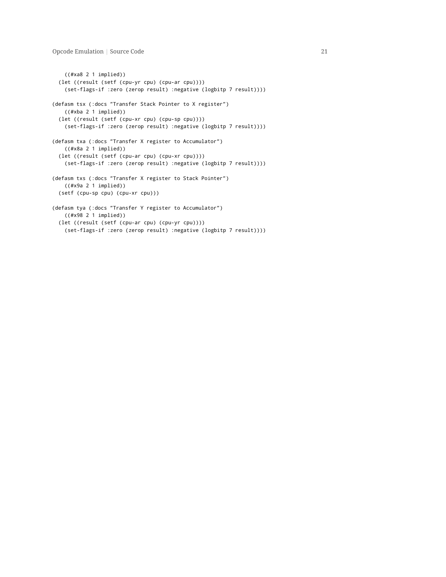```
((#xa8 2 1 implied))
 (let ((result (setf (cpu-yr cpu) (cpu-ar cpu))))
   (set-flags-if :zero (zerop result) :negative (logbitp 7 result))))
(defasm tsx (:docs "Transfer Stack Pointer to X register")
   ((#xba 2 1 implied))
  (let ((result (setf (cpu-xr cpu) (cpu-sp cpu))))
   (set-flags-if :zero (zerop result) :negative (logbitp 7 result))))
(defasm txa (:docs "Transfer X register to Accumulator")
   ((#x8a 2 1 implied))
 (let ((result (setf (cpu-ar cpu) (cpu-xr cpu))))
   (set-flags-if :zero (zerop result) :negative (logbitp 7 result))))
(defasm txs (:docs "Transfer X register to Stack Pointer")
   ((#x9a 2 1 implied))
 (setf (cpu-sp cpu) (cpu-xr cpu)))
(defasm tya (:docs "Transfer Y register to Accumulator")
   ((#x98 2 1 implied))
  (let ((result (setf (cpu-ar cpu) (cpu-yr cpu))))
   (set-flags-if :zero (zerop result) :negative (logbitp 7 result))))
```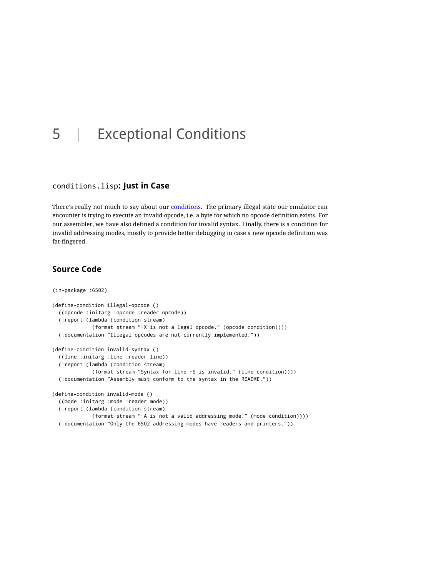# <span id="page-22-0"></span>5 | Exceptional Conditions

#### <span id="page-22-1"></span>conditions.lisp**: Just in Case**

There's really not much to say about our [conditions.](http://www.gigamonkeys.com/book/beyond-exception-handling-conditions-and-restarts.html) The primary illegal state our emulator can encounter is trying to execute an invalid opcode, i.e. a byte for which no opcode definition exists. For our assembler, we have also defined a condition for invalid syntax. Finally, there is a condition for invalid addressing modes, mostly to provide better debugging in case a new opcode definition was fat-fingered.

```
(in-package :6502)
(define-condition illegal-opcode ()
 ((opcode :initarg :opcode :reader opcode))
 (:report (lambda (condition stream)
             (format stream "~X is not a legal opcode." (opcode condition))))
 (:documentation "Illegal opcodes are not currently implemented."))
(define-condition invalid-syntax ()
 ((line :initarg :line :reader line))
 (:report (lambda (condition stream)
             (format stream "Syntax for line ~S is invalid." (line condition))))
 (:documentation "Assembly must conform to the syntax in the README."))
(define-condition invalid-mode ()
 ((mode :initarg :mode :reader mode))
 (:report (lambda (condition stream)
             (format stream "~A is not a valid addressing mode." (mode condition))))
 (:documentation "Only the 6502 addressing modes have readers and printers."))
```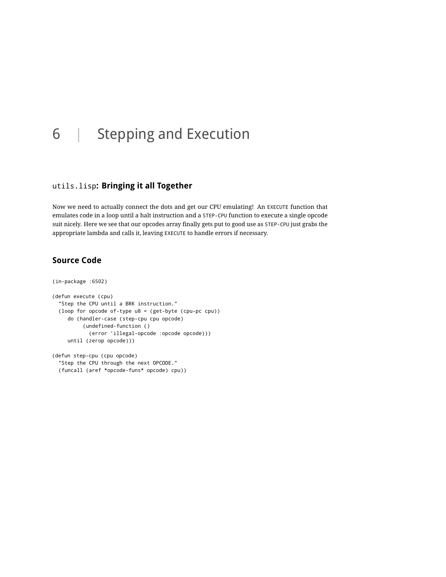# <span id="page-23-0"></span>6 | Stepping and Execution

## <span id="page-23-1"></span>utils.lisp**: Bringing it all Together**

Now we need to actually connect the dots and get our CPU emulating! An EXECUTE function that emulates code in a loop until a halt instruction and a STEP-CPU function to execute a single opcode suit nicely. Here we see that our opcodes array finally gets put to good use as STEP-CPU just grabs the appropriate lambda and calls it, leaving EXECUTE to handle errors if necessary.

## <span id="page-23-2"></span>**Source Code**

```
(in-package :6502)
(defun execute (cpu)
  "Step the CPU until a BRK instruction."
  (loop for opcode of-type u8 = (get-byte (cpu-pc cpu))
     do (handler-case (step-cpu cpu opcode)
          (undefined-function ()
            (error 'illegal-opcode :opcode opcode)))
     until (zerop opcode)))
(defun step-cpu (cpu opcode)
```
"Step the CPU through the next OPCODE." (funcall (aref \*opcode-funs\* opcode) cpu))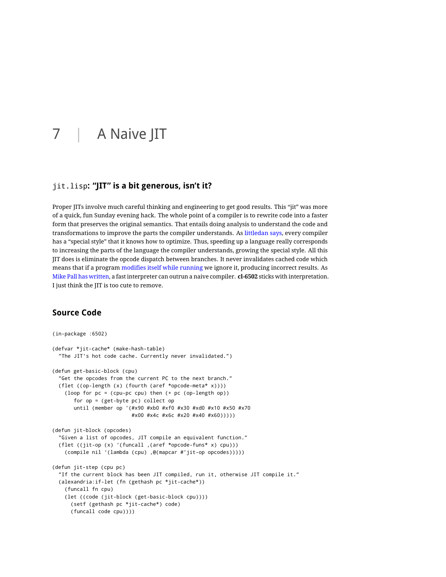# <span id="page-24-0"></span>7 | A Naive JIT

### <span id="page-24-1"></span>jit.lisp**: "JIT" is a bit generous, isn't it?**

Proper JITs involve much careful thinking and engineering to get good results. This "jit" was more of a quick, fun Sunday evening hack. The whole point of a compiler is to rewrite code into a faster form that preserves the original semantics. That entails doing analysis to understand the code and transformations to improve the parts the compiler understands. As [littledan says,](http://useless-factor.blogspot.com/2009/10/bitfields-in-factor-structs-and-special.html) every compiler has a "special style" that it knows how to optimize. Thus, speeding up a language really corresponds to increasing the parts of the language the compiler understands, growing the special style. All this JIT does is eliminate the opcode dispatch between branches. It never invalidates cached code which means that if a program [modifies itself while running](http://en.wikipedia.org/wiki/Self-modifying_code) we ignore it, producing incorrect results. As [Mike Pall has written,](http://lambda-the-ultimate.org/node/3851#comment-57646) a fast interpreter can outrun a naive compiler. **cl-6502** sticks with interpretation. I just think the JIT is too cute to remove.

```
(in-package :6502)
(defvar *jit-cache* (make-hash-table)
  "The JIT's hot code cache. Currently never invalidated.")
(defun get-basic-block (cpu)
 "Get the opcodes from the current PC to the next branch."
 (flet ((op-length (x) (fourth (aref *opcode-meta* x))))
   (loop for pc = (cpu-pc cpu) then (+ pc (op-length op))
      for op = (get-byte pc) collect op
      until (member op '(#x90 #xb0 #xf0 #x30 #xd0 #x10 #x50 #x70
                          #x00 #x4c #x6c #x20 #x40 #x60)))))
(defun jit-block (opcodes)
  "Given a list of opcodes, JIT compile an equivalent function."
 (flet ((jit-op (x) '(funcall ,(aref *opcode-funs* x) cpu)))
   (compile nil '(lambda (cpu) ,@(mapcar #'jit-op opcodes)))))
(defun jit-step (cpu pc)
  "If the current block has been JIT compiled, run it, otherwise JIT compile it."
 (alexandria:if-let (fn (gethash pc *jit-cache*))
   (funcall fn cpu)
   (let ((code (jit-block (get-basic-block cpu))))
     (setf (gethash pc *jit-cache*) code)
     (funcall code cpu))))
```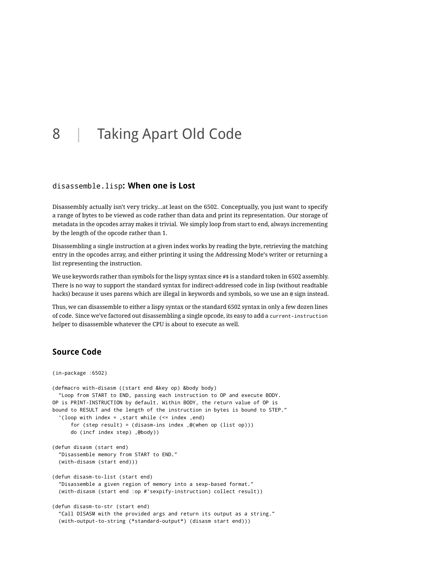# <span id="page-25-0"></span>8 | Taking Apart Old Code

#### <span id="page-25-1"></span>disassemble.lisp**: When one is Lost**

Disassembly actually isn't very tricky…at least on the 6502. Conceptually, you just want to specify a range of bytes to be viewed as code rather than data and print its representation. Our storage of metadata in the opcodes array makes it trivial. We simply loop from start to end, always incrementing by the length of the opcode rather than 1.

Disassembling a single instruction at a given index works by reading the byte, retrieving the matching entry in the opcodes array, and either printing it using the Addressing Mode's writer or returning a list representing the instruction.

We use keywords rather than symbols for the lispy syntax since #\$ is a standard token in 6502 assembly. There is no way to support the standard syntax for indirect-addressed code in lisp (without readtable hacks) because it uses parens which are illegal in keywords and symbols, so we use an @ sign instead.

Thus, we can disassemble to either a lispy syntax or the standard 6502 syntax in only a few dozen lines of code. Since we've factored out disassembling a single opcode, its easy to add a current-instruction helper to disassemble whatever the CPU is about to execute as well.

```
(in-package :6502)
(defmacro with-disasm ((start end &key op) &body body)
 "Loop from START to END, passing each instruction to OP and execute BODY.
OP is PRINT-INSTRUCTION by default. Within BODY, the return value of OP is
bound to RESULT and the length of the instruction in bytes is bound to STEP."
  '(loop with index = ,start while (<= index ,end)
     for (step result) = (disasm-ins index ,@(when op (list op)))
     do (incf index step) ,@body))
(defun disasm (start end)
 "Disassemble memory from START to END."
 (with-disasm (start end)))
(defun disasm-to-list (start end)
 "Disassemble a given region of memory into a sexp-based format."
 (with-disasm (start end :op #'sexpify-instruction) collect result))
(defun disasm-to-str (start end)
  "Call DISASM with the provided args and return its output as a string."
 (with-output-to-string (*standard-output*) (disasm start end)))
```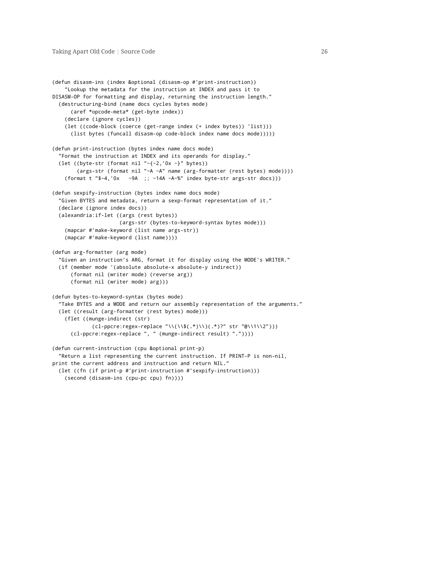```
(defun disasm-ins (index &optional (disasm-op #'print-instruction))
   "Lookup the metadata for the instruction at INDEX and pass it to
DISASM-OP for formatting and display, returning the instruction length."
 (destructuring-bind (name docs cycles bytes mode)
     (aref *opcode-meta* (get-byte index))
   (declare (ignore cycles))
   (let ((code-block (coerce (get-range index (+ index bytes)) 'list)))
     (list bytes (funcall disasm-op code-block index name docs mode)))))
(defun print-instruction (bytes index name docs mode)
  "Format the instruction at INDEX and its operands for display."
 (let ((byte-str (format nil "~\{-2, '0x -\}'' bytes))
       (args-str (format nil "~A ~A" name (arg-formatter (rest bytes) mode))))
   (format t "$~4,'0x ~9A ;; ~14A ~A~%" index byte-str args-str docs)))
(defun sexpify-instruction (bytes index name docs mode)
  "Given BYTES and metadata, return a sexp-format representation of it."
 (declare (ignore index docs))
 (alexandria:if-let ((args (rest bytes))
                      (args-str (bytes-to-keyword-syntax bytes mode)))
   (mapcar #'make-keyword (list name args-str))
   (mapcar #'make-keyword (list name))))
(defun arg-formatter (arg mode)
  "Given an instruction's ARG, format it for display using the MODE's WRITER."
  (if (member mode '(absolute absolute-x absolute-y indirect))
     (format nil (writer mode) (reverse arg))
     (format nil (writer mode) arg)))
(defun bytes-to-keyword-syntax (bytes mode)
  "Take BYTES and a MODE and return our assembly representation of the arguments."
 (let ((result (arg-formatter (rest bytes) mode)))
   (flet ((munge-indirect (str)
             (cl-ppcre:regex-replace "\\(\\$(.*)\\)(.*)?" str "@\\1\\2")))
     (cl-ppcre:regex-replace ", " (munge-indirect result) "."))))
(defun current-instruction (cpu &optional print-p)
  "Return a list representing the current instruction. If PRINT-P is non-nil,
print the current address and instruction and return NIL."
 (let ((fn (if print-p #'print-instruction #'sexpify-instruction)))
   (second (disasm-ins (cpu-pc cpu) fn))))
```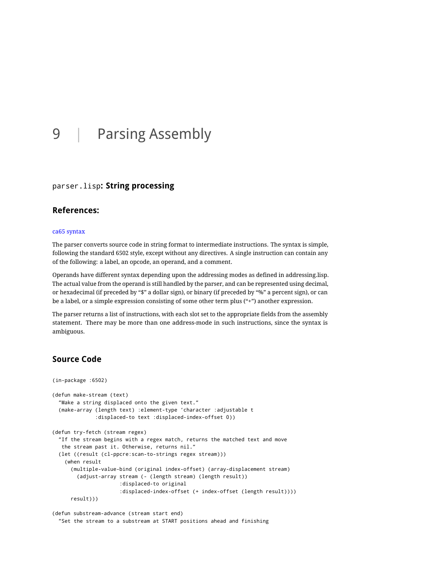# <span id="page-27-0"></span>9 | Parsing Assembly

### <span id="page-27-1"></span>parser.lisp**: String processing**

### <span id="page-27-2"></span>**References:**

#### [ca65 syntax](http://www.cc65.org/doc/ca65-4.html)

The parser converts source code in string format to intermediate instructions. The syntax is simple, following the standard 6502 style, except without any directives. A single instruction can contain any of the following: a label, an opcode, an operand, and a comment.

Operands have different syntax depending upon the addressing modes as defined in addressing.lisp. The actual value from the operand is still handled by the parser, and can be represented using decimal, or hexadecimal (if preceded by "\$" a dollar sign), or binary (if preceded by "%" a percent sign), or can be a label, or a simple expression consisting of some other term plus ("+") another expression.

The parser returns a list of instructions, with each slot set to the appropriate fields from the assembly statement. There may be more than one address-mode in such instructions, since the syntax is ambiguous.

```
(in-package :6502)
(defun make-stream (text)
 "Make a string displaced onto the given text."
 (make-array (length text) :element-type 'character :adjustable t
              :displaced-to text :displaced-index-offset 0))
(defun try-fetch (stream regex)
 "If the stream begins with a regex match, returns the matched text and move
  the stream past it. Otherwise, returns nil."
 (let ((result (cl-ppcre:scan-to-strings regex stream)))
   (when result
     (multiple-value-bind (original index-offset) (array-displacement stream)
        (adjust-array stream (- (length stream) (length result))
                      :displaced-to original
                      :displaced-index-offset (+ index-offset (length result))))
     result)))
```

```
(defun substream-advance (stream start end)
  "Set the stream to a substream at START positions ahead and finishing
```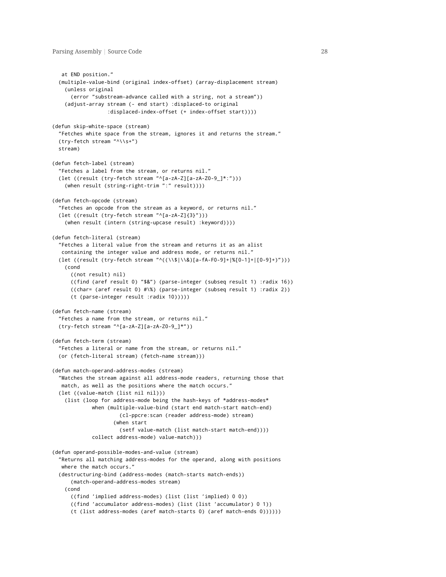```
at END position."
 (multiple-value-bind (original index-offset) (array-displacement stream)
   (unless original
      (error "substream-advance called with a string, not a stream"))
   (adjust-array stream (- end start) :displaced-to original
                  :displaced-index-offset (+ index-offset start))))
(defun skip-white-space (stream)
  "Fetches white space from the stream, ignores it and returns the stream."
 (try-fetch stream "^\\s+")
 stream)
(defun fetch-label (stream)
  "Fetches a label from the stream, or returns nil."
  (let ((result (try-fetch stream "^[a-zA-Z][a-zA-Z0-9_]*:")))
   (when result (string-right-trim ":" result))))
(defun fetch-opcode (stream)
  "Fetches an opcode from the stream as a keyword, or returns nil."
 (let ((result (try-fetch stream "^[a-zA-Z]{3}")))
   (when result (intern (string-upcase result) :keyword))))
(defun fetch-literal (stream)
  "Fetches a literal value from the stream and returns it as an alist
  containing the integer value and address mode, or returns nil."
 (let ((result (try-fetch stream "^((\\$|\\&)[a-fA-F0-9]+|%[0-1]+|[0-9]+)")))
   (cond
     ((not result) nil)
     ((find (aref result 0) "$&") (parse-integer (subseq result 1) :radix 16))
     ((char= (aref result 0) #\%) (parse-integer (subseq result 1) :radix 2))
      (t (parse-integer result :radix 10)))))
(defun fetch-name (stream)
  "Fetches a name from the stream, or returns nil."
 (try-fetch stream "^[a-zA-Z][a-zA-Z0-9_]*"))
(defun fetch-term (stream)
  "Fetches a literal or name from the stream, or returns nil."
 (or (fetch-literal stream) (fetch-name stream)))
(defun match-operand-address-modes (stream)
 "Matches the stream against all address-mode readers, returning those that
  match, as well as the positions where the match occurs."
 (let ((value-match (list nil nil)))
   (list (loop for address-mode being the hash-keys of *address-modes*
            when (multiple-value-bind (start end match-start match-end)
                      (cl-ppcre:scan (reader address-mode) stream)
                    (when start
                      (setf value-match (list match-start match-end))))
             collect address-mode) value-match)))
(defun operand-possible-modes-and-value (stream)
  "Returns all matching address-modes for the operand, along with positions
  where the match occurs."
 (destructuring-bind (address-modes (match-starts match-ends))
     (match-operand-address-modes stream)
   (cond
     ((find 'implied address-modes) (list (list 'implied) 0 0))
     ((find 'accumulator address-modes) (list (list 'accumulator) 0 1))
     (t (list address-modes (aref match-starts 0) (aref match-ends 0))))))
```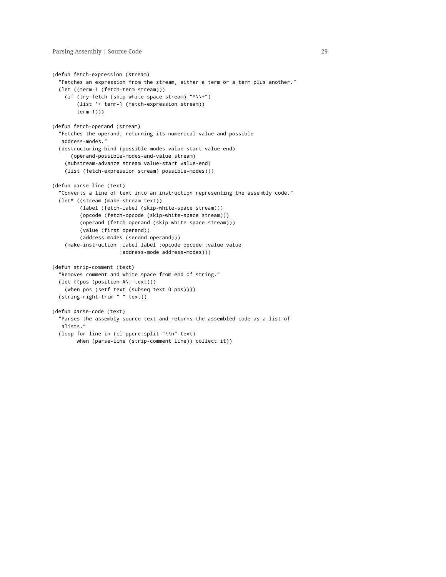```
(defun fetch-expression (stream)
 "Fetches an expression from the stream, either a term or a term plus another."
 (let ((term-1 (fetch-term stream)))
   (if (try-fetch (skip-white-space stream) "^\\+")
       (list '+ term-1 (fetch-expression stream))
       term-1)))
(defun fetch-operand (stream)
 "Fetches the operand, returning its numerical value and possible
  address-modes."
 (destructuring-bind (possible-modes value-start value-end)
     (operand-possible-modes-and-value stream)
   (substream-advance stream value-start value-end)
   (list (fetch-expression stream) possible-modes)))
(defun parse-line (text)
 "Converts a line of text into an instruction representing the assembly code."
 (let* ((stream (make-stream text))
         (label (fetch-label (skip-white-space stream)))
         (opcode (fetch-opcode (skip-white-space stream)))
         (operand (fetch-operand (skip-white-space stream)))
         (value (first operand))
         (address-modes (second operand)))
   (make-instruction :label label :opcode opcode :value value
                      :address-mode address-modes)))
(defun strip-comment (text)
 "Removes comment and white space from end of string."
 (let ((pos (position #\; text)))
   (when pos (setf text (subseq text 0 pos))))
 (string-right-trim " " text))
(defun parse-code (text)
  "Parses the assembly source text and returns the assembled code as a list of
  alists."
 (loop for line in (cl-ppcre:split "\\n" text)
       when (parse-line (strip-comment line)) collect it))
```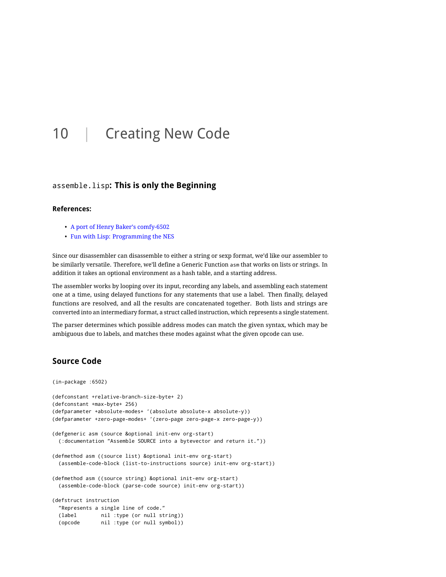# <span id="page-30-0"></span>10 | Creating New Code

#### <span id="page-30-1"></span>assemble.lisp**: This is only the Beginning**

#### <span id="page-30-2"></span>**References:**

- [A port of Henry Baker's comfy-6502](http://josephoswald.nfshost.com/comfy/summary.html)
- [Fun with Lisp: Programming the NES](http://ahefner.livejournal.com/20528.html)

Since our disassembler can disassemble to either a string or sexp format, we'd like our assembler to be similarly versatile. Therefore, we'll define a Generic Function asm that works on lists or strings. In addition it takes an optional environment as a hash table, and a starting address.

The assembler works by looping over its input, recording any labels, and assembling each statement one at a time, using delayed functions for any statements that use a label. Then finally, delayed functions are resolved, and all the results are concatenated together. Both lists and strings are converted into an intermediary format, a struct called instruction, which represents a single statement.

<span id="page-30-3"></span>The parser determines which possible address modes can match the given syntax, which may be ambiguous due to labels, and matches these modes against what the given opcode can use.

```
(in-package :6502)
(defconstant +relative-branch-size-byte+ 2)
(defconstant +max-byte+ 256)
(defparameter +absolute-modes+ '(absolute absolute-x absolute-y))
(defparameter +zero-page-modes+ '(zero-page zero-page-x zero-page-y))
(defgeneric asm (source &optional init-env org-start)
 (:documentation "Assemble SOURCE into a bytevector and return it."))
(defmethod asm ((source list) &optional init-env org-start)
 (assemble-code-block (list-to-instructions source) init-env org-start))
(defmethod asm ((source string) &optional init-env org-start)
 (assemble-code-block (parse-code source) init-env org-start))
(defstruct instruction
 "Represents a single line of code."
 (label nil :type (or null string))
 (opcode nil :type (or null symbol))
```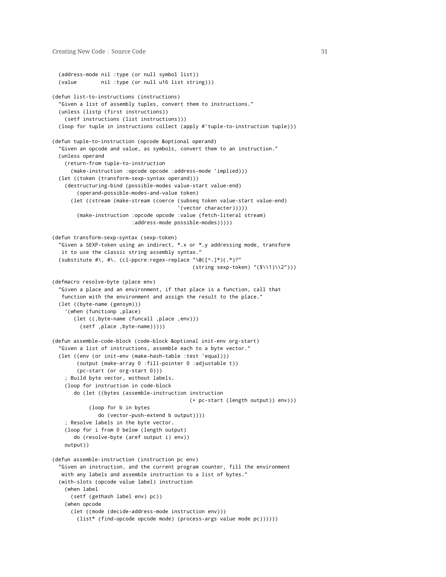```
(address-mode nil :type (or null symbol list))
  (value nil :type (or null u16 list string)))
(defun list-to-instructions (instructions)
  "Given a list of assembly tuples, convert them to instructions."
  (unless (listp (first instructions))
    (setf instructions (list instructions)))
  (loop for tuple in instructions collect (apply #'tuple-to-instruction tuple)))
(defun tuple-to-instruction (opcode &optional operand)
  "Given an opcode and value, as symbols, convert them to an instruction."
  (unless operand
    (return-from tuple-to-instruction
      (make-instruction :opcode opcode :address-mode 'implied)))
  (let ((token (transform-sexp-syntax operand)))
    (destructuring-bind (possible-modes value-start value-end)
        (operand-possible-modes-and-value token)
      (let ((stream (make-stream (coerce (subseq token value-start value-end)
                                         '(vector character)))))
        (make-instruction :opcode opcode :value (fetch-literal stream)
                          :address-mode possible-modes)))))
(defun transform-sexp-syntax (sexp-token)
  "Given a SEXP-token using an indirect, *.x or *.y addressing mode, transform
  it to use the classic string assembly syntax."
  (substitute #\, #\. (cl-ppcre:regex-replace "\@([^.]*)(.*)?"
                                              (String \text{sexp-token}) "(\text{$\forall 1)(\2")})(defmacro resolve-byte (place env)
  "Given a place and an environment, if that place is a function, call that
  function with the environment and assign the result to the place."
  (let ((byte-name (gensym)))
    '(when (functionp ,place)
       (let ((,byte-name (funcall ,place ,env)))
         (setf ,place ,byte-name)))))
(defun assemble-code-block (code-block &optional init-env org-start)
  "Given a list of instructions, assemble each to a byte vector."
  (let ((env (or init-env (make-hash-table :test 'equal)))
        (output (make-array 0 :fill-pointer 0 :adjustable t))
        (pc-start (or org-start 0)))
    ; Build byte vector, without labels.
    (loop for instruction in code-block
       do (let ((bytes (assemble-instruction instruction
                                             (+ pc-start (length output)) env)))
            (loop for b in bytes
               do (vector-push-extend b output))))
    ; Resolve labels in the byte vector.
    (loop for i from 0 below (length output)
       do (resolve-byte (aref output i) env))
    output))
(defun assemble-instruction (instruction pc env)
  "Given an instruction, and the current program counter, fill the environment
  with any labels and assemble instruction to a list of bytes."
  (with-slots (opcode value label) instruction
    (when label
      (setf (gethash label env) pc))
    (when opcode
      (let ((mode (decide-address-mode instruction env)))
        (list* (find-opcode opcode mode) (process-args value mode pc))))))
```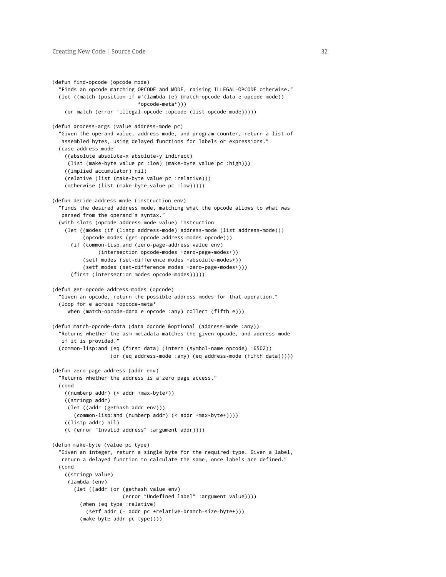```
(defun find-opcode (opcode mode)
  "Finds an opcode matching OPCODE and MODE, raising ILLEGAL-OPCODE otherwise."
 (let ((match (position-if #'(lambda (e) (match-opcode-data e opcode mode))
                            *opcode-meta*)))
   (or match (error 'illegal-opcode :opcode (list opcode mode)))))
(defun process-args (value address-mode pc)
  "Given the operand value, address-mode, and program counter, return a list of
  assembled bytes, using delayed functions for labels or expressions."
 (case address-mode
   ((absolute absolute-x absolute-y indirect)
    (list (make-byte value pc :low) (make-byte value pc :high)))
   ((implied accumulator) nil)
   (relative (list (make-byte value pc :relative)))
   (otherwise (list (make-byte value pc :low)))))
(defun decide-address-mode (instruction env)
  "Finds the desired address mode, matching what the opcode allows to what was
  parsed from the operand's syntax."
 (with-slots (opcode address-mode value) instruction
   (let ((modes (if (listp address-mode) address-mode (list address-mode)))
          (opcode-modes (get-opcode-address-modes opcode)))
     (if (common-lisp:and (zero-page-address value env)
               (intersection opcode-modes +zero-page-modes+))
          (setf modes (set-difference modes +absolute-modes+))
          (setf modes (set-difference modes +zero-page-modes+)))
      (first (intersection modes opcode-modes)))))
(defun get-opcode-address-modes (opcode)
  "Given an opcode, return the possible address modes for that operation."
  (loop for e across *opcode-meta*
    when (match-opcode-data e opcode :any) collect (fifth e)))
(defun match-opcode-data (data opcode &optional (address-mode :any))
  "Returns whether the asm metadata matches the given opcode, and address-mode
  if it is provided."
 (common-lisp:and (eq (first data) (intern (symbol-name opcode) :6502))
                   (or (eq address-mode :any) (eq address-mode (fifth data)))))
(defun zero-page-address (addr env)
 "Returns whether the address is a zero page access."
 (cond
   ((numberp addr) (< addr +max-byte+))
   ((stringp addr)
    (let ((addr (gethash addr env)))
       (common-lisp:and (numberp addr) (< addr +max-byte+))))
   ((listp addr) nil)
   (t (error "Invalid address" :argument addr))))
(defun make-byte (value pc type)
  "Given an integer, return a single byte for the required type. Given a label,
  return a delayed function to calculate the same, once labels are defined."
  (cond
   ((stringp value)
     (lambda (env)
       (let ((addr (or (gethash value env)
                       (error "Undefined label" :argument value))))
         (when (eq type :relative)
           (setf addr (- addr pc +relative-branch-size-byte+)))
         (make-byte addr pc type))))
```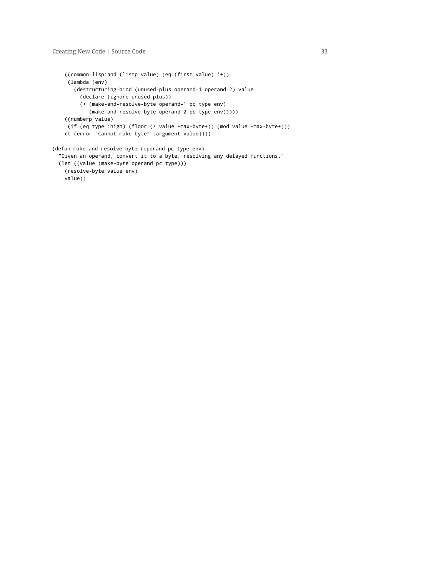```
((common-lisp:and (listp value) (eq (first value) '+))
     (lambda (env)
      (destructuring-bind (unused-plus operand-1 operand-2) value
        (declare (ignore unused-plus))
         (+ (make-and-resolve-byte operand-1 pc type env)
            (make-and-resolve-byte operand-2 pc type env)))))
    ((numberp value)
     (if (eq type :high) (floor (/ value +max-byte+)) (mod value +max-byte+)))
    (t (error "Cannot make-byte" :argument value))))
(defun make-and-resolve-byte (operand pc type env)
  "Given an operand, convert it to a byte, resolving any delayed functions."
 (let ((value (make-byte operand pc type)))
   (resolve-byte value env)
```
value))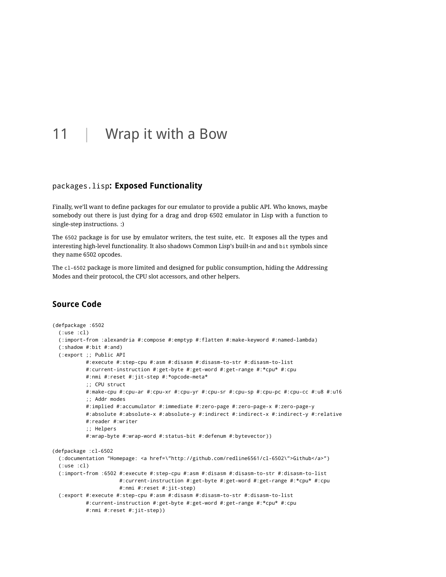# <span id="page-34-0"></span>11 | Wrap it with a Bow

#### <span id="page-34-1"></span>packages.lisp**: Exposed Functionality**

Finally, we'll want to define packages for our emulator to provide a public API. Who knows, maybe somebody out there is just dying for a drag and drop 6502 emulator in Lisp with a function to single-step instructions. :)

The 6502 package is for use by emulator writers, the test suite, etc. It exposes all the types and interesting high-level functionality. It also shadows Common Lisp's built-in and and bit symbols since they name 6502 opcodes.

<span id="page-34-2"></span>The cl-6502 package is more limited and designed for public consumption, hiding the Addressing Modes and their protocol, the CPU slot accessors, and other helpers.

```
(defpackage :6502
 (:use :cl)
 (:import-from :alexandria #:compose #:emptyp #:flatten #:make-keyword #:named-lambda)
 (:shadow #:bit #:and)
 (:export ;; Public API
          #:execute #:step-cpu #:asm #:disasm #:disasm-to-str #:disasm-to-list
           #:current-instruction #:get-byte #:get-word #:get-range #:*cpu* #:cpu
           #:nmi #:reset #:jit-step #:*opcode-meta*
           ;; CPU struct
           #:make-cpu #:cpu-ar #:cpu-xr #:cpu-yr #:cpu-sr #:cpu-sp #:cpu-pc #:cpu-cc #:u8 #:u16
           ;; Addr modes
           #:implied #:accumulator #:immediate #:zero-page #:zero-page-x #:zero-page-y
          #:absolute #:absolute-x #:absolute-y #:indirect #:indirect-x #:indirect-y #:relative
          #:reader #:writer
           ;; Helpers
           #:wrap-byte #:wrap-word #:status-bit #:defenum #:bytevector))
(defpackage :cl-6502
 (:documentation "Homepage: <a href=\"http://github.com/redline6561/cl-6502\">Github</a>")
 (:use :cl)
 (:import-from :6502 #:execute #:step-cpu #:asm #:disasm #:disasm-to-str #:disasm-to-list
                      #:current-instruction #:get-byte #:get-word #:get-range #:*cpu* #:cpu
                      #:nmi #:reset #:jit-step)
 (:export #:execute #:step-cpu #:asm #:disasm #:disasm-to-str #:disasm-to-list
           #: current-instruction #: get-byte #: get-word #: get-range #: * cpu* #: cpu
           #:nmi #:reset #:jit-step))
```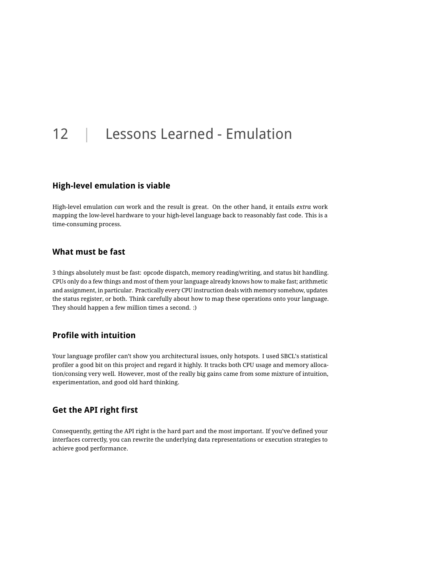# <span id="page-35-0"></span>12 | Lessons Learned - Emulation

### <span id="page-35-1"></span>**High-level emulation is viable**

High-level emulation *can* work and the result is great. On the other hand, it entails *extra* work mapping the low-level hardware to your high-level language back to reasonably fast code. This is a time-consuming process.

## <span id="page-35-2"></span>**What must be fast**

3 things absolutely must be fast: opcode dispatch, memory reading/writing, and status bit handling. CPUs only do a few things and most of them your language already knows how to make fast; arithmetic and assignment, in particular. Practically every CPU instruction deals with memory somehow, updates the status register, or both. Think carefully about how to map these operations onto your language. They should happen a few million times a second. :)

## <span id="page-35-3"></span>**Profile with intuition**

Your language profiler can't show you architectural issues, only hotspots. I used SBCL's statistical profiler a good bit on this project and regard it highly. It tracks both CPU usage and memory allocation/consing very well. However, most of the really big gains came from some mixture of intuition, experimentation, and good old hard thinking.

### <span id="page-35-4"></span>**Get the API right first**

Consequently, getting the API right is the hard part and the most important. If you've defined your interfaces correctly, you can rewrite the underlying data representations or execution strategies to achieve good performance.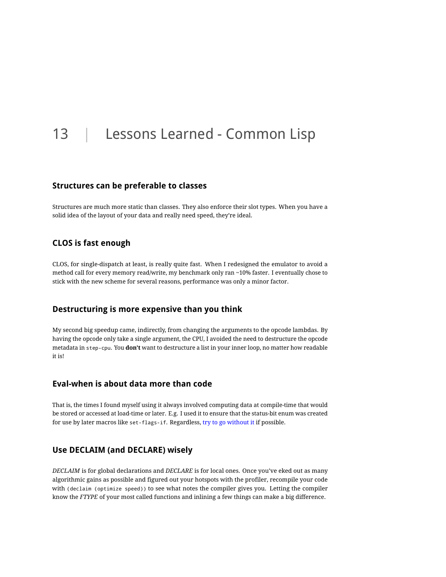# <span id="page-36-0"></span>13 | Lessons Learned - Common Lisp

#### <span id="page-36-1"></span>**Structures can be preferable to classes**

Structures are much more static than classes. They also enforce their slot types. When you have a solid idea of the layout of your data and really need speed, they're ideal.

### <span id="page-36-2"></span>**CLOS is fast enough**

CLOS, for single-dispatch at least, is really quite fast. When I redesigned the emulator to avoid a method call for every memory read/write, my benchmark only ran ~10% faster. I eventually chose to stick with the new scheme for several reasons, performance was only a minor factor.

### <span id="page-36-3"></span>**Destructuring is more expensive than you think**

My second big speedup came, indirectly, from changing the arguments to the opcode lambdas. By having the opcode only take a single argument, the CPU, I avoided the need to destructure the opcode metadata in step-cpu. You **don't** want to destructure a list in your inner loop, no matter how readable it is!

### <span id="page-36-4"></span>**Eval-when is about data more than code**

That is, the times I found myself using it always involved computing data at compile-time that would be stored or accessed at load-time or later. E.g. I used it to ensure that the status-bit enum was created for use by later macros like set-flags-if. Regardless, [try to go without it](http://fare.livejournal.com/146698.html) if possible.

### <span id="page-36-5"></span>**Use DECLAIM (and DECLARE) wisely**

*DECLAIM* is for global declarations and *DECLARE* is for local ones. Once you've eked out as many algorithmic gains as possible and figured out your hotspots with the profiler, recompile your code with (declaim (optimize speed)) to see what notes the compiler gives you. Letting the compiler know the *FTYPE* of your most called functions and inlining a few things can make a big difference.